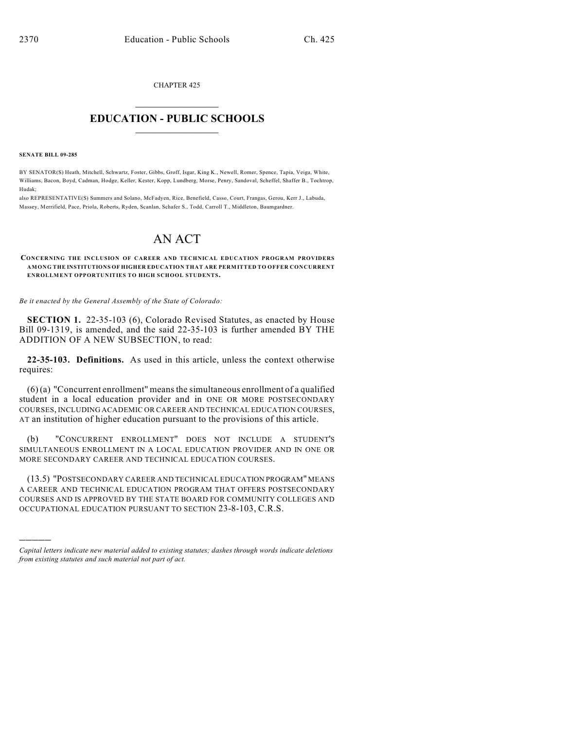CHAPTER 425  $\mathcal{L}_\text{max}$  . The set of the set of the set of the set of the set of the set of the set of the set of the set of the set of the set of the set of the set of the set of the set of the set of the set of the set of the set

## **EDUCATION - PUBLIC SCHOOLS**  $\_$   $\_$   $\_$   $\_$   $\_$   $\_$   $\_$   $\_$   $\_$

**SENATE BILL 09-285**

)))))

BY SENATOR(S) Heath, Mitchell, Schwartz, Foster, Gibbs, Groff, Isgar, King K., Newell, Romer, Spence, Tapia, Veiga, White, Williams, Bacon, Boyd, Cadman, Hodge, Keller, Kester, Kopp, Lundberg, Morse, Penry, Sandoval, Scheffel, Shaffer B., Tochtrop, Hudak;

also REPRESENTATIVE(S) Summers and Solano, McFadyen, Rice, Benefield, Casso, Court, Frangas, Gerou, Kerr J., Labuda, Massey, Merrifield, Pace, Priola, Roberts, Ryden, Scanlan, Schafer S., Todd, Carroll T., Middleton, Baumgardner.

## AN ACT

**CONCERNING THE INCLUSION OF CAREER AND TECHNICAL EDUCATION PROGRAM PROVIDERS AMONG THE INSTITUTIONS OF HIGHER EDUCATION THAT ARE PERMITTED TO OFFER CONCURRENT ENROLLMENT OPPORTUNITIES TO HIGH SCHOOL STUDENTS.**

*Be it enacted by the General Assembly of the State of Colorado:*

**SECTION 1.** 22-35-103 (6), Colorado Revised Statutes, as enacted by House Bill 09-1319, is amended, and the said 22-35-103 is further amended BY THE ADDITION OF A NEW SUBSECTION, to read:

**22-35-103. Definitions.** As used in this article, unless the context otherwise requires:

 $(6)(a)$  "Concurrent enrollment" means the simultaneous enrollment of a qualified student in a local education provider and in ONE OR MORE POSTSECONDARY COURSES, INCLUDING ACADEMIC OR CAREER AND TECHNICAL EDUCATION COURSES, AT an institution of higher education pursuant to the provisions of this article.

(b) "CONCURRENT ENROLLMENT" DOES NOT INCLUDE A STUDENT'S SIMULTANEOUS ENROLLMENT IN A LOCAL EDUCATION PROVIDER AND IN ONE OR MORE SECONDARY CAREER AND TECHNICAL EDUCATION COURSES.

(13.5) "POSTSECONDARY CAREER AND TECHNICAL EDUCATION PROGRAM" MEANS A CAREER AND TECHNICAL EDUCATION PROGRAM THAT OFFERS POSTSECONDARY COURSES AND IS APPROVED BY THE STATE BOARD FOR COMMUNITY COLLEGES AND OCCUPATIONAL EDUCATION PURSUANT TO SECTION 23-8-103, C.R.S.

*Capital letters indicate new material added to existing statutes; dashes through words indicate deletions from existing statutes and such material not part of act.*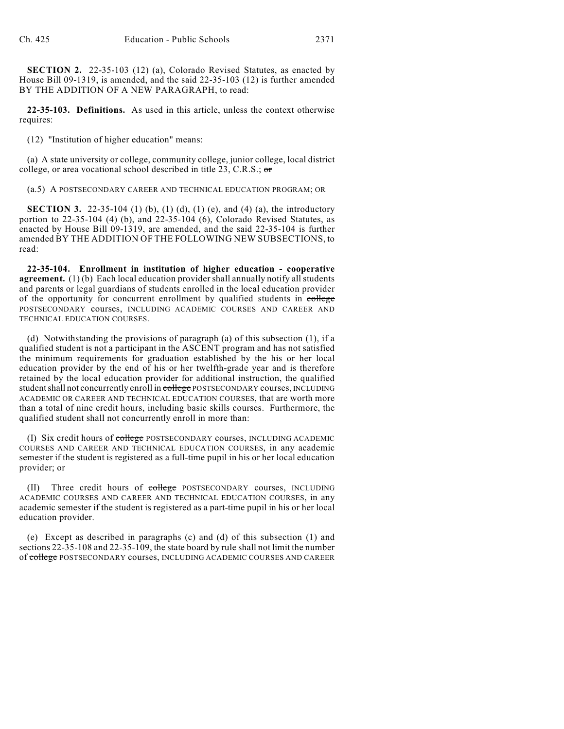**SECTION 2.** 22-35-103 (12) (a), Colorado Revised Statutes, as enacted by House Bill 09-1319, is amended, and the said 22-35-103 (12) is further amended BY THE ADDITION OF A NEW PARAGRAPH, to read:

**22-35-103. Definitions.** As used in this article, unless the context otherwise requires:

(12) "Institution of higher education" means:

(a) A state university or college, community college, junior college, local district college, or area vocational school described in title 23, C.R.S.; or

(a.5) A POSTSECONDARY CAREER AND TECHNICAL EDUCATION PROGRAM; OR

**SECTION 3.** 22-35-104 (1) (b), (1) (d), (1) (e), and (4) (a), the introductory portion to 22-35-104 (4) (b), and 22-35-104 (6), Colorado Revised Statutes, as enacted by House Bill 09-1319, are amended, and the said 22-35-104 is further amended BY THE ADDITION OF THE FOLLOWING NEW SUBSECTIONS, to read:

**22-35-104. Enrollment in institution of higher education - cooperative agreement.** (1) (b) Each local education provider shall annually notify all students and parents or legal guardians of students enrolled in the local education provider of the opportunity for concurrent enrollment by qualified students in college POSTSECONDARY courses, INCLUDING ACADEMIC COURSES AND CAREER AND TECHNICAL EDUCATION COURSES.

(d) Notwithstanding the provisions of paragraph (a) of this subsection (1), if a qualified student is not a participant in the ASCENT program and has not satisfied the minimum requirements for graduation established by the his or her local education provider by the end of his or her twelfth-grade year and is therefore retained by the local education provider for additional instruction, the qualified student shall not concurrently enroll in college POSTSECONDARY courses, INCLUDING ACADEMIC OR CAREER AND TECHNICAL EDUCATION COURSES, that are worth more than a total of nine credit hours, including basic skills courses. Furthermore, the qualified student shall not concurrently enroll in more than:

(I) Six credit hours of college POSTSECONDARY courses, INCLUDING ACADEMIC COURSES AND CAREER AND TECHNICAL EDUCATION COURSES, in any academic semester if the student is registered as a full-time pupil in his or her local education provider; or

Three credit hours of college POSTSECONDARY courses, INCLUDING ACADEMIC COURSES AND CAREER AND TECHNICAL EDUCATION COURSES, in any academic semester if the student is registered as a part-time pupil in his or her local education provider.

(e) Except as described in paragraphs (c) and (d) of this subsection (1) and sections 22-35-108 and 22-35-109, the state board by rule shall not limit the number of college POSTSECONDARY courses, INCLUDING ACADEMIC COURSES AND CAREER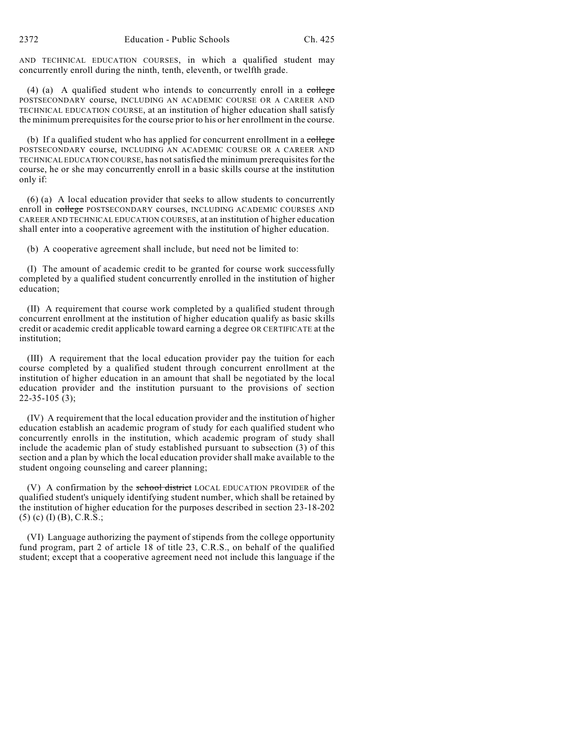AND TECHNICAL EDUCATION COURSES, in which a qualified student may concurrently enroll during the ninth, tenth, eleventh, or twelfth grade.

(4) (a) A qualified student who intends to concurrently enroll in a college POSTSECONDARY course, INCLUDING AN ACADEMIC COURSE OR A CAREER AND TECHNICAL EDUCATION COURSE, at an institution of higher education shall satisfy the minimum prerequisites for the course prior to his or her enrollment in the course.

(b) If a qualified student who has applied for concurrent enrollment in a college POSTSECONDARY course, INCLUDING AN ACADEMIC COURSE OR A CAREER AND TECHNICAL EDUCATION COURSE, has not satisfied the minimum prerequisites for the course, he or she may concurrently enroll in a basic skills course at the institution only if:

(6) (a) A local education provider that seeks to allow students to concurrently enroll in college POSTSECONDARY courses, INCLUDING ACADEMIC COURSES AND CAREER AND TECHNICAL EDUCATION COURSES, at an institution of higher education shall enter into a cooperative agreement with the institution of higher education.

(b) A cooperative agreement shall include, but need not be limited to:

(I) The amount of academic credit to be granted for course work successfully completed by a qualified student concurrently enrolled in the institution of higher education;

(II) A requirement that course work completed by a qualified student through concurrent enrollment at the institution of higher education qualify as basic skills credit or academic credit applicable toward earning a degree OR CERTIFICATE at the institution;

(III) A requirement that the local education provider pay the tuition for each course completed by a qualified student through concurrent enrollment at the institution of higher education in an amount that shall be negotiated by the local education provider and the institution pursuant to the provisions of section  $22-35-105(3);$ 

(IV) A requirement that the local education provider and the institution of higher education establish an academic program of study for each qualified student who concurrently enrolls in the institution, which academic program of study shall include the academic plan of study established pursuant to subsection (3) of this section and a plan by which the local education provider shall make available to the student ongoing counseling and career planning;

(V) A confirmation by the school district LOCAL EDUCATION PROVIDER of the qualified student's uniquely identifying student number, which shall be retained by the institution of higher education for the purposes described in section 23-18-202 (5) (c) (I) (B), C.R.S.;

(VI) Language authorizing the payment of stipends from the college opportunity fund program, part 2 of article 18 of title 23, C.R.S., on behalf of the qualified student; except that a cooperative agreement need not include this language if the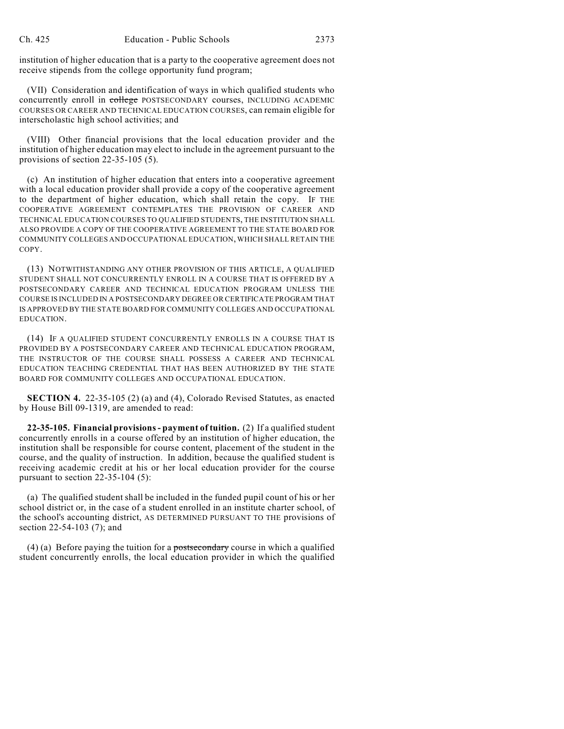institution of higher education that is a party to the cooperative agreement does not receive stipends from the college opportunity fund program;

(VII) Consideration and identification of ways in which qualified students who concurrently enroll in college POSTSECONDARY courses, INCLUDING ACADEMIC COURSES OR CAREER AND TECHNICAL EDUCATION COURSES, can remain eligible for interscholastic high school activities; and

(VIII) Other financial provisions that the local education provider and the institution of higher education may elect to include in the agreement pursuant to the provisions of section 22-35-105 (5).

(c) An institution of higher education that enters into a cooperative agreement with a local education provider shall provide a copy of the cooperative agreement to the department of higher education, which shall retain the copy. IF THE COOPERATIVE AGREEMENT CONTEMPLATES THE PROVISION OF CAREER AND TECHNICAL EDUCATION COURSES TO QUALIFIED STUDENTS, THE INSTITUTION SHALL ALSO PROVIDE A COPY OF THE COOPERATIVE AGREEMENT TO THE STATE BOARD FOR COMMUNITY COLLEGES AND OCCUPATIONAL EDUCATION, WHICH SHALL RETAIN THE COPY.

(13) NOTWITHSTANDING ANY OTHER PROVISION OF THIS ARTICLE, A QUALIFIED STUDENT SHALL NOT CONCURRENTLY ENROLL IN A COURSE THAT IS OFFERED BY A POSTSECONDARY CAREER AND TECHNICAL EDUCATION PROGRAM UNLESS THE COURSE IS INCLUDED IN A POSTSECONDARY DEGREE OR CERTIFICATE PROGRAM THAT IS APPROVED BY THE STATE BOARD FOR COMMUNITY COLLEGES AND OCCUPATIONAL EDUCATION.

(14) IF A QUALIFIED STUDENT CONCURRENTLY ENROLLS IN A COURSE THAT IS PROVIDED BY A POSTSECONDARY CAREER AND TECHNICAL EDUCATION PROGRAM, THE INSTRUCTOR OF THE COURSE SHALL POSSESS A CAREER AND TECHNICAL EDUCATION TEACHING CREDENTIAL THAT HAS BEEN AUTHORIZED BY THE STATE BOARD FOR COMMUNITY COLLEGES AND OCCUPATIONAL EDUCATION.

**SECTION 4.** 22-35-105 (2) (a) and (4), Colorado Revised Statutes, as enacted by House Bill 09-1319, are amended to read:

**22-35-105. Financial provisions - payment of tuition.** (2) If a qualified student concurrently enrolls in a course offered by an institution of higher education, the institution shall be responsible for course content, placement of the student in the course, and the quality of instruction. In addition, because the qualified student is receiving academic credit at his or her local education provider for the course pursuant to section 22-35-104 (5):

(a) The qualified student shall be included in the funded pupil count of his or her school district or, in the case of a student enrolled in an institute charter school, of the school's accounting district, AS DETERMINED PURSUANT TO THE provisions of section 22-54-103 (7); and

(4) (a) Before paying the tuition for a postsecondary course in which a qualified student concurrently enrolls, the local education provider in which the qualified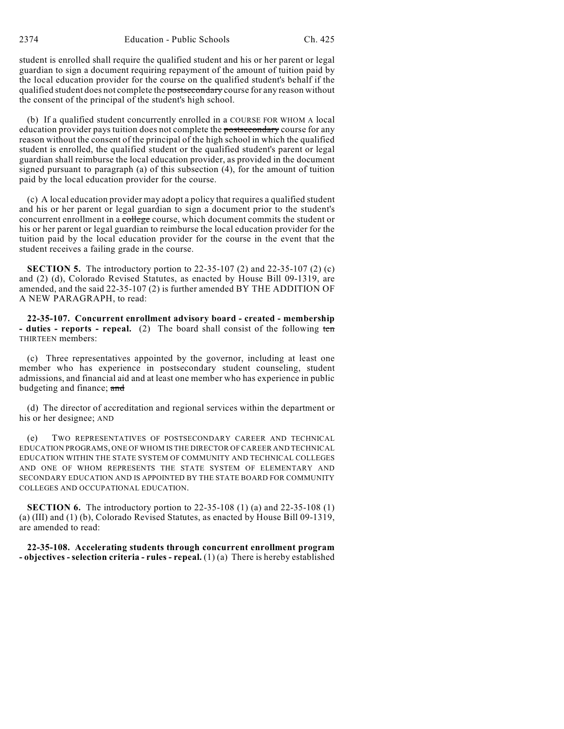student is enrolled shall require the qualified student and his or her parent or legal guardian to sign a document requiring repayment of the amount of tuition paid by the local education provider for the course on the qualified student's behalf if the qualified student does not complete the **postsecondary** course for any reason without the consent of the principal of the student's high school.

(b) If a qualified student concurrently enrolled in a COURSE FOR WHOM A local education provider pays tuition does not complete the postsecondary course for any reason without the consent of the principal of the high school in which the qualified student is enrolled, the qualified student or the qualified student's parent or legal guardian shall reimburse the local education provider, as provided in the document signed pursuant to paragraph (a) of this subsection (4), for the amount of tuition paid by the local education provider for the course.

(c) A local education provider may adopt a policy that requires a qualified student and his or her parent or legal guardian to sign a document prior to the student's concurrent enrollment in a college course, which document commits the student or his or her parent or legal guardian to reimburse the local education provider for the tuition paid by the local education provider for the course in the event that the student receives a failing grade in the course.

**SECTION 5.** The introductory portion to 22-35-107 (2) and 22-35-107 (2) (c) and (2) (d), Colorado Revised Statutes, as enacted by House Bill 09-1319, are amended, and the said 22-35-107 (2) is further amended BY THE ADDITION OF A NEW PARAGRAPH, to read:

**22-35-107. Concurrent enrollment advisory board - created - membership** - duties - reports - repeal. (2) The board shall consist of the following ten THIRTEEN members:

(c) Three representatives appointed by the governor, including at least one member who has experience in postsecondary student counseling, student admissions, and financial aid and at least one member who has experience in public budgeting and finance; and

(d) The director of accreditation and regional services within the department or his or her designee; AND

(e) TWO REPRESENTATIVES OF POSTSECONDARY CAREER AND TECHNICAL EDUCATION PROGRAMS, ONE OF WHOM IS THE DIRECTOR OF CAREER AND TECHNICAL EDUCATION WITHIN THE STATE SYSTEM OF COMMUNITY AND TECHNICAL COLLEGES AND ONE OF WHOM REPRESENTS THE STATE SYSTEM OF ELEMENTARY AND SECONDARY EDUCATION AND IS APPOINTED BY THE STATE BOARD FOR COMMUNITY COLLEGES AND OCCUPATIONAL EDUCATION.

**SECTION 6.** The introductory portion to 22-35-108 (1) (a) and 22-35-108 (1) (a) (III) and (1) (b), Colorado Revised Statutes, as enacted by House Bill 09-1319, are amended to read:

**22-35-108. Accelerating students through concurrent enrollment program - objectives - selection criteria - rules - repeal.** (1) (a) There is hereby established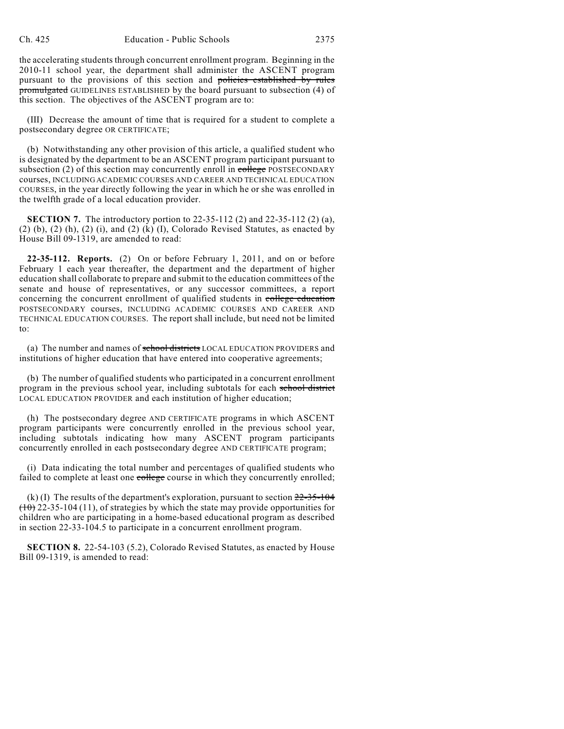the accelerating students through concurrent enrollment program. Beginning in the 2010-11 school year, the department shall administer the ASCENT program pursuant to the provisions of this section and policies established by rules promulgated GUIDELINES ESTABLISHED by the board pursuant to subsection (4) of this section. The objectives of the ASCENT program are to:

(III) Decrease the amount of time that is required for a student to complete a postsecondary degree OR CERTIFICATE;

(b) Notwithstanding any other provision of this article, a qualified student who is designated by the department to be an ASCENT program participant pursuant to subsection (2) of this section may concurrently enroll in  $\overline{\text{college}}$  POSTSECONDARY courses, INCLUDING ACADEMIC COURSES AND CAREER AND TECHNICAL EDUCATION COURSES, in the year directly following the year in which he or she was enrolled in the twelfth grade of a local education provider.

**SECTION 7.** The introductory portion to 22-35-112 (2) and 22-35-112 (2) (a),  $(2)$  (b),  $(2)$  (h),  $(2)$  (i), and  $(2)$  (k) (I), Colorado Revised Statutes, as enacted by House Bill 09-1319, are amended to read:

**22-35-112. Reports.** (2) On or before February 1, 2011, and on or before February 1 each year thereafter, the department and the department of higher education shall collaborate to prepare and submit to the education committees of the senate and house of representatives, or any successor committees, a report concerning the concurrent enrollment of qualified students in college education POSTSECONDARY courses, INCLUDING ACADEMIC COURSES AND CAREER AND TECHNICAL EDUCATION COURSES. The report shall include, but need not be limited to:

(a) The number and names of school districts LOCAL EDUCATION PROVIDERS and institutions of higher education that have entered into cooperative agreements;

(b) The number of qualified students who participated in a concurrent enrollment program in the previous school year, including subtotals for each school district LOCAL EDUCATION PROVIDER and each institution of higher education;

(h) The postsecondary degree AND CERTIFICATE programs in which ASCENT program participants were concurrently enrolled in the previous school year, including subtotals indicating how many ASCENT program participants concurrently enrolled in each postsecondary degree AND CERTIFICATE program;

(i) Data indicating the total number and percentages of qualified students who failed to complete at least one college course in which they concurrently enrolled;

(k) (I) The results of the department's exploration, pursuant to section  $22-35-104$  $(10)$  22-35-104 (11), of strategies by which the state may provide opportunities for children who are participating in a home-based educational program as described in section 22-33-104.5 to participate in a concurrent enrollment program.

**SECTION 8.** 22-54-103 (5.2), Colorado Revised Statutes, as enacted by House Bill 09-1319, is amended to read: